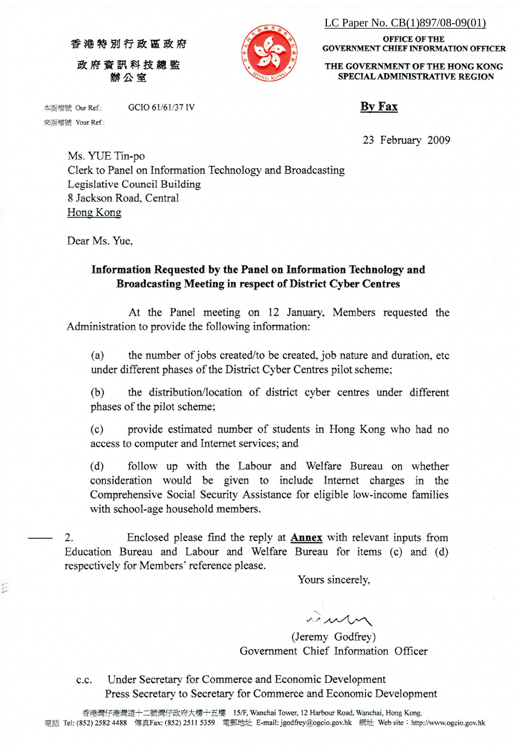LC Paper No. CB(1)897/08-09(01)

香港特別行政區政府 政府資訊科技總監 辦公室

GCIO 61/61/37 IV



THE GOVERNMENT OF THE HONG KONG SPECIAL ADMINISTRATIVE REGION

**OFFICE OF THE** 

**GOVERNMENT CHIEF INFORMATION OFFICER** 

**By Fax** 

23 February 2009

Ms. YUE Tin-po Clerk to Panel on Information Technology and Broadcasting Legislative Council Building 8 Jackson Road, Central Hong Kong

Dear Ms. Yue.

本函檔號 Our Ref.: 來函檔號 Your Ref.:

#### Information Requested by the Panel on Information Technology and **Broadcasting Meeting in respect of District Cyber Centres**

At the Panel meeting on 12 January, Members requested the Administration to provide the following information:

the number of jobs created/to be created, job nature and duration, etc.  $(a)$ under different phases of the District Cyber Centres pilot scheme;

 $(b)$ the distribution/location of district cyber centres under different phases of the pilot scheme;

 $(c)$ provide estimated number of students in Hong Kong who had no access to computer and Internet services; and

 $(d)$ follow up with the Labour and Welfare Bureau on whether consideration would be given to include Internet charges in the Comprehensive Social Security Assistance for eligible low-income families with school-age household members.

 $\overline{2}$ . Enclosed please find the reply at **Annex** with relevant inputs from Education Bureau and Labour and Welfare Bureau for items (c) and (d) respectively for Members' reference please.

Yours sincerely,

nun

(Jeremy Godfrey) Government Chief Information Officer

Under Secretary for Commerce and Economic Development c.c. Press Secretary to Secretary for Commerce and Economic Development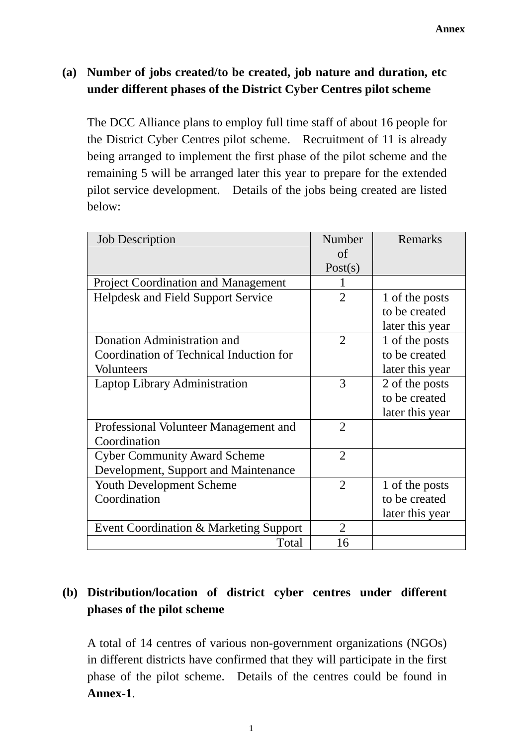### **(a) Number of jobs created/to be created, job nature and duration, etc under different phases of the District Cyber Centres pilot scheme**

The DCC Alliance plans to employ full time staff of about 16 people for the District Cyber Centres pilot scheme. Recruitment of 11 is already being arranged to implement the first phase of the pilot scheme and the remaining 5 will be arranged later this year to prepare for the extended pilot service development. Details of the jobs being created are listed below:

| <b>Job Description</b>                     | Number         | Remarks         |
|--------------------------------------------|----------------|-----------------|
|                                            | of             |                 |
|                                            | Post(s)        |                 |
| <b>Project Coordination and Management</b> | 1              |                 |
| <b>Helpdesk and Field Support Service</b>  | $\overline{2}$ | 1 of the posts  |
|                                            |                | to be created   |
|                                            |                | later this year |
| Donation Administration and                | $\overline{2}$ | 1 of the posts  |
| Coordination of Technical Induction for    |                | to be created   |
| <b>Volunteers</b>                          |                | later this year |
| <b>Laptop Library Administration</b>       | 3              | 2 of the posts  |
|                                            |                | to be created   |
|                                            |                | later this year |
| Professional Volunteer Management and      | $\overline{2}$ |                 |
| Coordination                               |                |                 |
| <b>Cyber Community Award Scheme</b>        | $\overline{2}$ |                 |
| Development, Support and Maintenance       |                |                 |
| Youth Development Scheme                   | $\overline{2}$ | 1 of the posts  |
| Coordination                               |                | to be created   |
|                                            |                | later this year |
| Event Coordination & Marketing Support     | $\overline{2}$ |                 |
| Total                                      | 16             |                 |

# **(b) Distribution/location of district cyber centres under different phases of the pilot scheme**

A total of 14 centres of various non-government organizations (NGOs) in different districts have confirmed that they will participate in the first phase of the pilot scheme. Details of the centres could be found in **Annex-1**.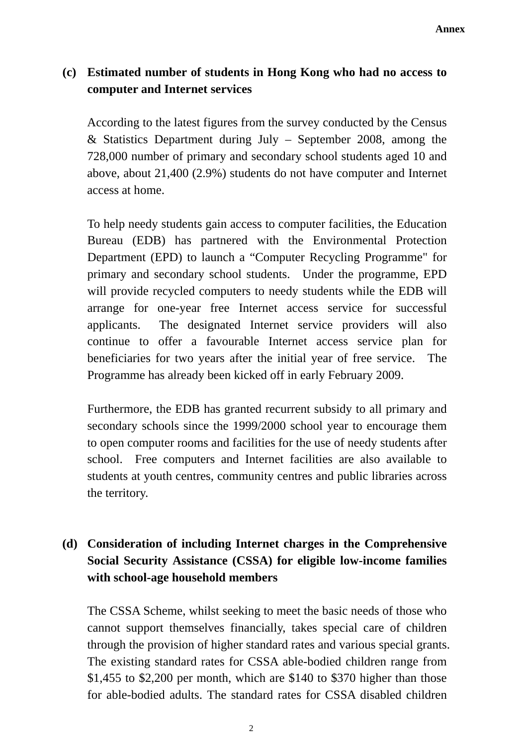## **(c) Estimated number of students in Hong Kong who had no access to computer and Internet services**

According to the latest figures from the survey conducted by the Census & Statistics Department during July – September 2008, among the 728,000 number of primary and secondary school students aged 10 and above, about 21,400 (2.9%) students do not have computer and Internet access at home.

 To help needy students gain access to computer facilities, the Education Bureau (EDB) has partnered with the Environmental Protection Department (EPD) to launch a "Computer Recycling Programme" for primary and secondary school students. Under the programme, EPD will provide recycled computers to needy students while the EDB will arrange for one-year free Internet access service for successful applicants. The designated Internet service providers will also continue to offer a favourable Internet access service plan for beneficiaries for two years after the initial year of free service. The Programme has already been kicked off in early February 2009.

 Furthermore, the EDB has granted recurrent subsidy to all primary and secondary schools since the 1999/2000 school year to encourage them to open computer rooms and facilities for the use of needy students after school. Free computers and Internet facilities are also available to students at youth centres, community centres and public libraries across the territory.

# **(d) Consideration of including Internet charges in the Comprehensive Social Security Assistance (CSSA) for eligible low-income families with school-age household members**

The CSSA Scheme, whilst seeking to meet the basic needs of those who cannot support themselves financially, takes special care of children through the provision of higher standard rates and various special grants. The existing standard rates for CSSA able-bodied children range from \$1,455 to \$2,200 per month, which are \$140 to \$370 higher than those for able-bodied adults. The standard rates for CSSA disabled children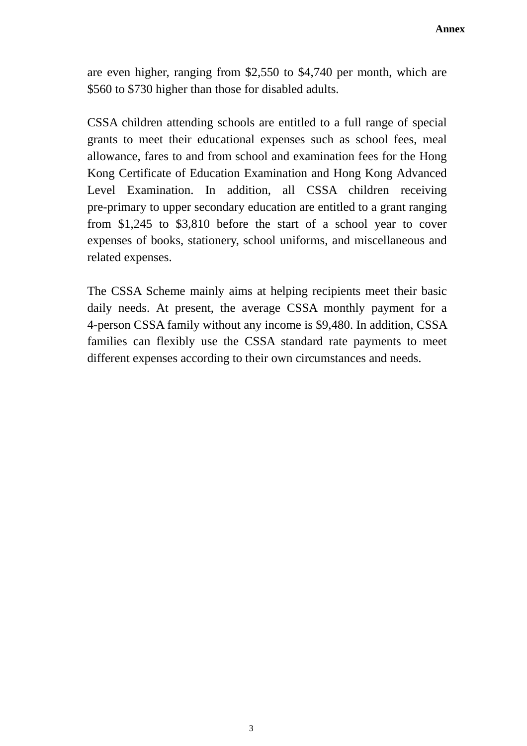are even higher, ranging from \$2,550 to \$4,740 per month, which are \$560 to \$730 higher than those for disabled adults.

CSSA children attending schools are entitled to a full range of special grants to meet their educational expenses such as school fees, meal allowance, fares to and from school and examination fees for the Hong Kong Certificate of Education Examination and Hong Kong Advanced Level Examination. In addition, all CSSA children receiving pre-primary to upper secondary education are entitled to a grant ranging from \$1,245 to \$3,810 before the start of a school year to cover expenses of books, stationery, school uniforms, and miscellaneous and related expenses.

The CSSA Scheme mainly aims at helping recipients meet their basic daily needs. At present, the average CSSA monthly payment for a 4-person CSSA family without any income is \$9,480. In addition, CSSA families can flexibly use the CSSA standard rate payments to meet different expenses according to their own circumstances and needs.